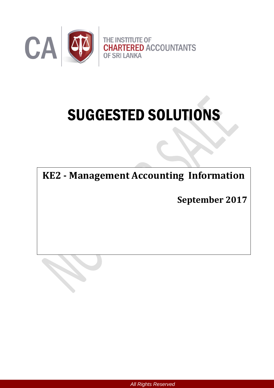

# SUGGESTED SOLUTIONS

**KE2 - Management Accounting Information**

**September 2017**

*All Rights Reserved*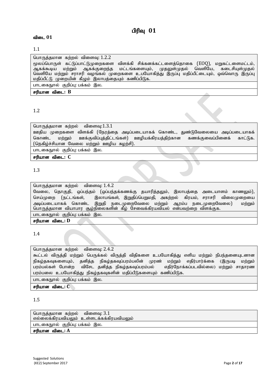# $n$ ிரிவு  $01$

#### விடை 01

#### 1.1

#### பொருத்தமான கற்றல் விளைவு:  $1.2.2$

மூலப்பொருள் கட்டுப்பாட்டுமுறைகளை விளக்கி சிக்கனக்கட்டளைத்தொகை (EOQ), மறுகட்டளைமட்டம்,<br>ஆகக்கூடிய மற்றும் ஆகக்குறைந்த மட்டங்களையும், முதலுள்முதல் வெளியே, கடைசியுள்முதல் மட்டங்களையும், முதலுள்முதல் வெளியே, கடைசியுள்முதல் வெளியே மற்றும் சராசரி வழங்கல் முறைகளை உபயோகித்து இருப்பு மதிப்பீட்டையும், ஒவ்வொரு இருப்பு மகிப்பீட்டு முறையின் கீமும் இலாபக்கையும் கணிப்பிடுக.

பாடகைநால் குறிப்ப: பக்கம் இல.

சரியான விடை: B

# 1.2

பொருத்தமான கற்றல் விளைவு: $1.3.1$ 

ஊதிய முறைகளை விளக்கி (நேரத்தை அடிப்படையாகக் கொண்ட, துண்டுவேலையை அடிப்படையாகக் கொண்ட மற்றும் ஊக்குவிப்புத்திட்டங்கள்) ஊழியக்கிரயத்திற்கான கணக்குவைப்பினைக் காட்டுக. (நெகிழ்ச்சியான வேலை மற்றும் ஊழிய சுழற்சி).

பாடகைநூல் குறிப்பு: பக்கம் இல.

#### rupahd tpil**: C**

# 1.3

பொருக்கமான கற்றல் விளைவ:  $1.4.2$ 

வேலை, தொகுதி, ஒப்பந்தம் (ஒப்பந்தக்கணக்கு தயாரித்தலும், இலாபத்தை அடையாளம் காணலும்), செய்முறை (நட்டங்கள், இலாபங்கள், இறுதிப்பெறுமதி, அகற்றல் கிரயம், சராசரி விலைமுறையை .<br>அடிப்படையாகக் கொண்ட இறுதி நடைமுறைவேலை மற்றும் ஆரம்ப நடைமுறைவேலை) மற்றும் பொருத்தமான வியாபார சூழ்நிலைகளின் கீழ் சேவைக்கிரயவியல் என்பவற்றை விளக்குக. பாடகைநூல் குறிப்பு: பக்கம் இல.

சரியான விடை: **D** 

# 1.4

பொருத்தமான கற்றல் விளைவு: 2.4.2

கூட்டல் விருத்தி மற்றும் பெருக்கல் விருத்தி விதிகளை உபயோகித்து எளிய மற்றும் நிபந்தனையுடனான நிகழ்தகவுகளையும், தனித்த நிகழ்தகவுப்பரம்பலின் முரண் மற்றும் எதிர்பார்க்கை (இருபடி மற்றும் பரம்பல்கள் போன்ற விசேட தனித்த நிகழ்தகவுப்பரம்பல் எதிர்நோக்கப்படவில்லை) மற்றும் சாதாரண பரம்பலை உபயோகித்து நிகழ்தகவுகளின் மதிப்பீடுகளையும் கணிப்பிடுக.

பாடகைநூல் குறிப்பு: பக்கம் இல.

சரியான விடை: C

# 1.5

பொருத்தமான கற்றல் விளைவு:  $3.1$  $\sigma$ ல்லைக்கிரயவியலும் உள்ளடக்கக்கிரயவியலும் பாடகைநூல் குறிப்பு: பக்கம் இல. சரியான விடை: A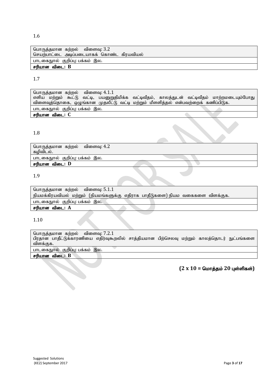| பொருத்தமான கற்றல் விளைவு: 3.2             |
|-------------------------------------------|
| செயற்பாட்டை அடிப்படையாகக் கொண்ட கிரயவியல் |
| பாடகைநூல் குறிப்பு: பக்கம் இல.            |
| சரியான விடை: B                            |

1.7

| பொருத்தமான கற்றல் விளைவு: 4.1.1 |                                                                                   |                                                                                             |
|---------------------------------|-----------------------------------------------------------------------------------|---------------------------------------------------------------------------------------------|
|                                 |                                                                                   | எளிய மற்றும் கூட்டு வட்டி, பயனுறுதிமிக்க வட்டிவீதம், காலத்துடன் வட்டிவீதம் மாற்றமடையும்போது |
|                                 | விளைவுத்தொகை, ஒழுங்கான முதலீட்டு வட்டி மற்றும் மீளளித்தல் என்பவற்றைக் கணிப்பிடுக. |                                                                                             |
| பாடகைநூல் குறிப்பு பக்கம் இல.   |                                                                                   |                                                                                             |
| சரியான விடை: C                  |                                                                                   |                                                                                             |

#### 1.8

| பொருத்தமான கற்றல் விளைவு: 4.2  |  |
|--------------------------------|--|
| கழிவிடல்.                      |  |
| பாடகைநூல் குறிப்பு: பக்கம் இல. |  |
| சரியான விடை: D                 |  |
|                                |  |

# 1.9

| பொருத்தமான கற்றல் விளைவு: $5.1.1$                                              |
|--------------------------------------------------------------------------------|
| நியமக்கிரயவியல் மற்றும் (நியமங்களுக்கு எதிராக பாதீடுகளை) நியம வகைகளை விளக்குக. |
| பாடகைநூல் குறிப்பு பக்கம் இல.                                                  |
| சரியான விடை: A                                                                 |

# 1.10

பொருத்தமான கற்றல் விளைவு:  $7.2.1$ பிரதான பாதீட்டுக்காரணியை எதிர்வுகூறலில் சாத்தியமான பிற்செலவு மற்றும் காலத்தொடர் நுட்பங்களை | விளக்குக. பாடகைநூல் குறிப்பு: பக்கம் இல.

சரியான விடை: **B** 

 $(2 \times 10 =$  மொத்தம் 20 புள்ளிகள்)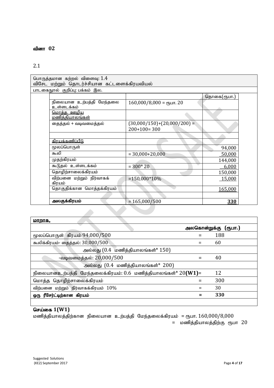# வினா 02

# 2.1

| பொருத்தமான கற்றல் விளைவு: $1.4$<br>விசேட மற்றும் தொடர்ச்சியான கட்டளைக்கிரயவியல் |                                              |                                                |             |
|---------------------------------------------------------------------------------|----------------------------------------------|------------------------------------------------|-------------|
|                                                                                 | பாடகைநூல் குறிப்பு: பக்கம் இல.               |                                                |             |
|                                                                                 |                                              |                                                | தொகை(ரூபா.) |
|                                                                                 | நிலையான உற்பத்தி மேந்தலை<br>உள்ளடக்கம்       | $160,000/8,000 =$ спут. 20                     |             |
|                                                                                 | <u> மொத்த ஊழிய</u><br><u>மணித்தியாலங்கள்</u> |                                                |             |
|                                                                                 | தைத்தல் + வடிவமைத்தல்                        | $(30,000/150)+(20,000/200) =$<br>$200+100=300$ |             |
|                                                                                 |                                              |                                                |             |
|                                                                                 | <u>கிரயக்கணிப்பீடு</u>                       |                                                |             |
|                                                                                 | மூலப்பொருள்                                  |                                                | 94,000      |
|                                                                                 | கூலி                                         | $= 30,000+20,000$                              | 50,000      |
|                                                                                 | முதற்கிரயம்                                  |                                                | 144,000     |
|                                                                                 | கூடுதல் உள்ளடக்கம்                           | $= 300*20$                                     | 6,000       |
|                                                                                 | தொழிற்சாலைக்கிரயம்                           |                                                | 150,000     |
|                                                                                 | விற்பனை மற்றும் நிர்வாகக்<br>கிரயம்          | $=150,000*10%$                                 | 15,000      |
|                                                                                 | தொகுதிக்கான மொத்தக்கிரயம்                    |                                                | 165,000     |
|                                                                                 |                                              |                                                |             |
|                                                                                 | அலகுக்கிரயம்                                 | $= 165,000/500$                                | 330         |

| <u>மாறாக,</u>                                                               |              |         |
|-----------------------------------------------------------------------------|--------------|---------|
|                                                                             | அலகொன்றுக்கு | (ரூபா.) |
| மூலப்பொருள் கிரயம் $94,000/500$                                             |              | 188     |
| கூலிக்கிரயம்- தைத்தல்: 30,000/500                                           | =            | 60      |
| அல்லது $(0.4 \text{ ns})$ த்தியாலங்கள் $*$ $150$ )                          |              |         |
| -வடிவமைத்தல்: 20,000/500                                                    | $=$          | 40      |
| அல்லது $(0.4 \text{ n} \cdot \text{m})$ த்தியாலங்கள்* 200)                  |              |         |
| நிலையானஉற்பத்தி மேந்தலைக்கிரயம்: $0.6$ மணித்தியாலங்கள்* $20(\textbf{W1})$ = |              | 12      |
| மொத்த தொழிற்சாலைக்கிரயம்                                                    |              | 300     |
| விற்பனை மற்றும் நிர்வாகக்கிரயம் $10\%$                                      |              | 30      |
| ஒரு ரீசேர்ட்டிற்கான கிரயம்                                                  |              | 330     |
|                                                                             |              |         |

# **செய்கை 1(W1)**

மணித்தியாலத்திற்கான நிலையான உற்பத்தி மேந்தலைக்கிரயம் = ரூபா.  $160,000/8,000$ = மணித்தியாலத்திற்கு ரூபா 20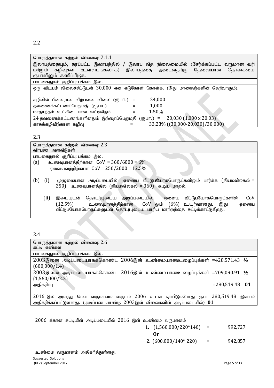| பொருத்தமான கற்றல் விளைவு: $2.1.1$                                                 |
|-----------------------------------------------------------------------------------|
| இலாபத்தையும், தரப்பட்ட இலாபத்தில் / இலாப வீத நிலைமையில் (சேர்க்கப்பட்ட வருமான வரி |
| மற்றும் கழிவுகள் உள்ளடங்கலாக)<br>இலாபத்தை அடைவதற்கு தேவையான<br>தொகையை             |
| ரூபாவிலும் கணிப்பிடுக.                                                            |
| பாடகைநூல் குறிப்பு: பக்கம் இல .                                                   |
| ஒரு விடயம் விலைச்சீட்டுடன் 30,000 என எடுகோள் கொள்க. (இது மாணவர்களின் தெரிவாகும்). |
|                                                                                   |
| 24,000<br>கழிவின் பின்னரான விற்பனை விலை (ரூபா.) =                                 |
| 1,000<br>தவணைக்கட்டணப்பெறுமதி (ரூபா.)                                             |
| 1.50%<br>மாதாந்தம் உட்கிடையான வட்டிவீதம்                                          |
| 20,030 (1,000 x 20.03)<br>24 தவணைக்கட்டணங்களினதும் இற்றைப்பெறுமதி (ரூபா.) =       |
| 33.23% ((30,000-20,030)/30,000)<br>காசுக்கழிவிற்கான கழிவு                         |

| பொருத்தமான கற்றல் விளைவு: 2.3                                                           |
|-----------------------------------------------------------------------------------------|
| விரபண அளவீடுகள்                                                                         |
| பாடகைநூல் குறிப்பு: பக்கம் இல .                                                         |
| (a)<br>உணவுபானத்திற்கான $COV = 360/6000 = 6\%$                                          |
| ஏனையவற்றிற்கான $CoV = 250/2000 = 12.5\%$                                                |
|                                                                                         |
| (i)<br>(b)<br>முழுமையான அடிப்படையில் ஏனைய வீட்டுபயோகபொருட்களிலும் பார்க்க (நியமவிலகல் = |
| $250$ ) உணவுபானத்தில் (நியமவிலகல் = $360$ ) கூடிய மாறல்.                                |
|                                                                                         |
| (ii)<br>CoV<br>இடையுடன் தொடர்புடைய அடிப்படையில்<br>வீட்டுபயோகபொருட்களின்<br>ஏனைய        |
| உணவுபானத்திற்கான CoV லும் (6%) உயர்வானது.<br>$(12.5\%)$<br>இது<br>ஏனைய                  |
| வீட்டுபயோகபொருட்களுடன் தொடர்புடைய பாரிய மாற்றத்தை சுட்டிக்காட்டுகிறது.                  |

2.4

| பொருத்தமான கற்றல் விளைவு: $2.6$<br>சுட்டி எண்கள்                                        |  |
|-----------------------------------------------------------------------------------------|--|
| பாடகைநூல் குறிப்பு: பக்கம் இல .                                                         |  |
| $2003$ இனை அடிப்படையாகக்கொண்ட $2006$ இன் உண்மையானஉழைப்புக்கள் =428,571.43 $1/2$         |  |
| (600,000/1.4)                                                                           |  |
| $2003$ இனை அடிப்படையாகக்கொண்ட $2016$ இன் உண்மையானஉழைப்புக்கள் =709,090.91 $1/2$         |  |
| (1,560,000/2.2)                                                                         |  |
| $= 280, 519.48$ 01<br>அதிகரிப்பு                                                        |  |
|                                                                                         |  |
| 2016 இல் அவரது மெய் வருமானம் வருடம் 2006 உடன் ஒப்பிடும்போது ரூபா 280,519.48 இனால்       |  |
| அதிகரிக்கப்பட்டுள்ளது. (அடிப்படையாண்டு $2003$ இன் விலைகளின் அடிப்படையில்) $\mathbf{01}$ |  |

 $2006$  க்கான சுட்டியின் அடிப்படையில்  $2016$  இன் உண்மை வருமானம்

| 1. $(1,560,000/220*140)$ | 992.727 |
|--------------------------|---------|
| $_{\rm$ Or               |         |
| 2. $(600,000/140*220)$   | 942,857 |

உண்மை வருமானம் அதிகரித்துள்ளது.

Suggested Solutions (KE2) September 2017 Page **5** of **17**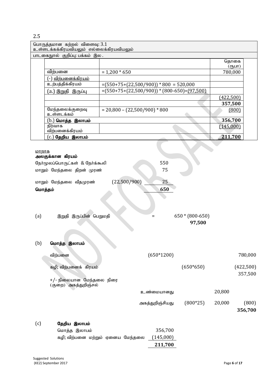|         | பொருத்தமான கற்றல் விளைவு: $3.1$          |                                                |                               |
|---------|------------------------------------------|------------------------------------------------|-------------------------------|
|         | உள்ளடக்கக்கிரயவியலும் எல்லைக்கிரயவியலும் |                                                |                               |
|         | பாடகைநூல் குறிப்பு: பக்கம் இல .          |                                                | தொகை                          |
|         |                                          |                                                | $($ (Пу $\Box$ П              |
|         | விற்பனை                                  | $= 1,200 * 650$                                | 780,000                       |
|         | <mark>(-) <u>விற்பனைக்கிரயம்</u></mark>  |                                                |                               |
|         | உற்பத்திக்கிரயம்                         | $=(550+75+(22,500/900))*800 = 520,000$         |                               |
|         | (a.) இறுதி  இருப்பு                      | $=(550+75+(22,500/900))*(800-650)=(97,500)$    |                               |
|         |                                          |                                                | (422,500)                     |
|         |                                          |                                                | 357,500                       |
|         | மேந்தலைக்குறைவு                          | $= 20,800 - (22,500/900) * 800$                | (800)                         |
|         | உள்ளடக்கம்                               |                                                |                               |
|         | $(b.)$ மொத்த இலாபம்                      |                                                | 356,700                       |
|         | நிர்வாக                                  |                                                | (145,000)                     |
|         | விற்பனைக்கிரயம்                          |                                                |                               |
|         | (c.) <mark>தேறிய இலாபம்</mark>           |                                                | 211,700                       |
|         |                                          |                                                |                               |
| மாறாக   |                                          |                                                |                               |
|         | அலகுக்கான கிரயம்                         |                                                |                               |
|         | நேர்மூலப்பொருட்கள் & நேர்க்கூலி          | 550                                            |                               |
|         | மாறும் மேந்தலை திறன் முரண்               | 75                                             |                               |
|         |                                          |                                                |                               |
|         | மாறும் மேந்தலை வீதமுரண்                  | (22,500/900)<br>25                             |                               |
| மொத்தம் |                                          | 650                                            |                               |
|         |                                          |                                                |                               |
|         |                                          |                                                |                               |
|         |                                          |                                                |                               |
| (a)     | இறுதி இருப்பின் பெறுமதி                  | $=$                                            | $650*(800-650)$               |
|         |                                          |                                                | 97,500                        |
|         |                                          |                                                |                               |
|         |                                          |                                                |                               |
|         |                                          |                                                |                               |
| (b)     | மொத்த இலாபம்                             |                                                |                               |
|         |                                          |                                                |                               |
|         | விற்பனை                                  | $(650*1200)$                                   | 780,000                       |
|         |                                          |                                                |                               |
|         | கழி; விற்பனைக் கிரயம்                    |                                                | $(650*650)$<br>(422,500)      |
|         |                                          |                                                | 357,500                       |
|         | +/- நிலையான மேந்தலை நிரை                 |                                                |                               |
|         | (குறை) அகத்துறிஞ்சல்                     |                                                |                               |
|         |                                          | உண்மையானது                                     | 20,800                        |
|         |                                          |                                                | $(800*25)$<br>20,000<br>(800) |
|         |                                          | அகத்துறிஞ்சியது                                |                               |
|         |                                          |                                                | 356,700                       |
|         |                                          |                                                |                               |
| (c)     | தேறிய இலாபம்                             |                                                |                               |
|         | மொத்த இலாபம்                             | 356,700                                        |                               |
|         |                                          | (145,000)<br>கழி; விற்பனை மற்றும் ஏனைய மேந்தலை |                               |
|         |                                          | 211,700                                        |                               |
|         |                                          |                                                |                               |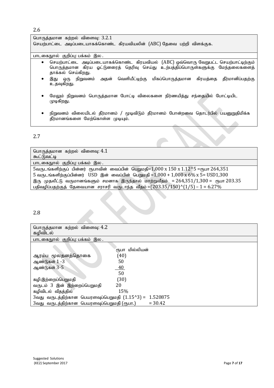| பொருத்தமான கற்றல் விளைவு: $3.2.1$                                                                                                                                                                     |
|-------------------------------------------------------------------------------------------------------------------------------------------------------------------------------------------------------|
| செயற்பாட்டை அடிப்படையாகக்கொண்ட கிரயவியலின் (ABC) தேவை பற்றி விளக்குக.                                                                                                                                 |
|                                                                                                                                                                                                       |
| பாடகைநூல் குறிப்பு: பக்கம் இல .                                                                                                                                                                       |
| செயற்பாட்டை அடிப்படையாகக்கொண்ட கிரயவியல் (ABC) ஒவ்வொரு வேறுபட்ட செயற்பாட்டிற்கும்<br>$\bullet$<br>பொருத்தமான கிரய ஓட்டுனரைத் தெரிவு செய்து உற்பத்திப்பொருள்களுக்கு மேந்தலைகளைத்<br>தாக்கல் செய்கிறது. |
| ஒரு நிறுவனம் அதன் வெளியீட்டிற்கு மிகப்பொருத்தமான கிரயத்தை தீர்மானிப்பதற்கு<br>இது<br>٠<br>உதவுகிறது.                                                                                                  |
| மேலும் நிறுவனம் பொருத்தமான போட்டி விலைகளை நிர்ணயித்து சந்தையில் போட்டியிட<br>முடிகிறது.                                                                                                               |

 $\bullet$  நிறுவனம் விலையிடல் தீர்மானம் / மூடிவிடும் தீர்மானம் போன்றவை தொடர்பில் பயனுறுதிமிக்க தீர்மானங்களை மேற்கொள்ள முடியும்.

# 2.7

| பொருத்தமான கற்றல் விளைவு: $4.1$                                                                     |
|-----------------------------------------------------------------------------------------------------|
| கூட்டுவட்டி                                                                                         |
| பாடகைநூல் குறிப்பு: பக்கம் இல .                                                                     |
| 5வருடங்களிற்குப் பின்னர் ரூபாவின் வைப்பின் பெறுமதி= $1,000 \times 150 \times 1.12$ ^5 =ரூபா 264,351 |
| 5 வருடங்களிற்குப்பின்னர் USD இன் வைப்பின் பெறுமதி = $1,000 + 1,000 \times 6\% \times 5 =$ USD1,300  |
| இரு முதலீட்டு வருமானங்களும் சமனாக இருந்தால் மாற்றுவீதம் = 264,351/1,300 = ரூபா 203.35               |
| பதிவழிப்பதற்குத் தேவையான சராசரி வருடாந்த வீதம் = $(203.35/150)^{(1/5)}$ – 1 = 6.27%                 |

# 2.8

| பொருத்தமான கற்றல் விளைவு: 4.2<br>கழிவிடல்               |                |
|---------------------------------------------------------|----------------|
| பாடகைநூல் குறிப்பு: பக்கம் இல .                         |                |
|                                                         | ரூபா மில்லியன் |
| ஆரம்ப மூலதனத்தொகை                                       | (40)           |
| ஆண்டுகள் 1 -3                                           | 50             |
| ஆண்டுகள் 3-5                                            | <u>40</u>      |
|                                                         | 50             |
| கழி:இற்றைப்பெறுமதி                                      | (30)           |
| வருடம் 3 இன் இற்றைப்பெறுமதி                             | 20             |
| கழிவிடல் வீதத்தில்                                      | 15%            |
| 3வது வருடத்திற்கான பெயரளவுப்பெறுமதி $(1.15^{\circ}3)$ = | 1.520875       |
| 3வது வருடத்திற்கான பெயரளவுப்பெறுமதி (ரூபா.)             | $= 30.42$      |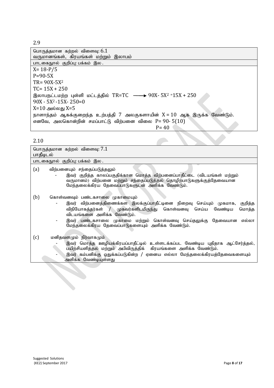| பொருத்தமான கற்றல் விளைவு: 6.1<br>வருமானங்கள், கிரயங்கள் மற்றும் இலாபம்                  |
|-----------------------------------------------------------------------------------------|
| பாடகைநூல் குறிப்பு: பக்கம் இல .                                                         |
| $X = 18 - P/5$                                                                          |
| $P = 90-5X$                                                                             |
| $TR = 90X - 5X^2$                                                                       |
| $TC = 15X + 250$                                                                        |
| இலாபநட்டமற்ற புள்ளி மட்டத்தில் TR=TC $\longrightarrow$ 90X- 5X <sup>2 =</sup> 15X + 250 |
| $90X - 5X^2 - 15X - 250 = 0$                                                            |
| X=10 அல்லது X=5                                                                         |
| நாளாந்தம் ஆகக்குறைந்த உற்பத்தி 7 அலகுகளாயின் X = 10 ஆக இருக்க வேண்டும்.                 |
| எனவே, அலகொன்றின் சமப்பாட்டு விற்பனை விலை P= 90-5(10)                                    |
| $P = 40$                                                                                |

|  | ۰. |
|--|----|

| பொருத்தமான கற்றல் விளைவு: $7.1\,$<br>பாதீடிடல்                                                                                                                                                                                                                                                                                                                                      |
|-------------------------------------------------------------------------------------------------------------------------------------------------------------------------------------------------------------------------------------------------------------------------------------------------------------------------------------------------------------------------------------|
| பாடகைநூல் குறிப்பு: பக்கம் இல .                                                                                                                                                                                                                                                                                                                                                     |
| (a)<br>விற்பனையும் சந்தைப்படுத்தலும்<br>இவர் குறித்த காலப்பகுதிக்கான மொத்த விற்பனைப்பாதீட்டை (விடயங்கள் மற்றும்<br>வருமானம்) விற்பனை மற்றும் சந்தைப்படுத்தல் தொழிற்பாடுகளுக்குத்தேவையான<br>மேந்தலைக்கிரய தேவைப்பாடுகளுடன் அளிக்க வேண்டும்.                                                                                                                                          |
| (b)<br>கொள்வனவும் பண்டகசாலை முகாமையும்<br>இவர் விற்பனைத்திணைக்கள இலக்குப்பாதீட்டினை நிறைவு செய்யும் முகமாக,<br>குறித்த<br>$\overline{\phantom{a}}$<br>விநியோகத்தர்கள் / முகவர்களிடமிருந்து கொள்வனவு செய்ய வேண்டிய<br>மொத்த<br>விடயங்களை அளிக்க வேண்டும்.<br>இவர் பண்டகசாலை முகாமை மற்றும் கொள்வனவு செய்தலுக்கு தேவையான<br>எல்லா<br>மேந்தலைக்கிரய தேவைப்பாடுகளையும் அளிக்க வேண்டும். |
| (c)<br>மனிதவளமும் நிர்வாகமும்<br>இவர் மொத்த ஊழியக்கிரயப்பாதீட்டில் உள்ளடக்கப்பட வேண்டிய புதிதாக ஆட்சேர்த்தல்,<br>பயிற்சியளித்தல் மற்றும் அபிவிருத்திக் கிரயங்களை அளிக்க வேண்டும்.<br>இவர் கம்பனிக்கு ஒதுக்கப்படுகின்ற / ஏனைய எல்லா மேந்தலைக்கிரயத்தேவைகளையும்<br>அளிக்க வேண்டியுள்ளது                                                                                               |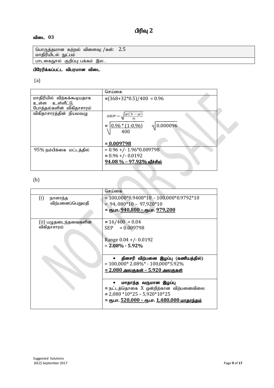# பிரிவு 2

# விடை 03

பொருத்தமான கற்றல் விளைவு: /கள்:  $\,$  2. $5$ <u>மாதிரியிடல் நுட்பம்</u>

————————————————————<br>பாடகைநூல் குறிப்பு: பக்கம் இல .

# பிரேரிக்கப்பட்ட விபரமான விடை

(a)

|                            | செய்கை                                 |  |
|----------------------------|----------------------------------------|--|
| மாதிரியில் விற்கக்கூடியதாக | $=(368+32*0.5)/400 = 0.96$             |  |
| உள்ள உள்ளீட்டு             |                                        |  |
| போத்தல்களின் விகிதாசாரம்   |                                        |  |
| விகிதாசாரத்தின் நியமவழு    | $p(1-p)$<br>$SSPP =$                   |  |
|                            | $0.96*(1-0.96)$<br>$= 0.000096$<br>400 |  |
|                            |                                        |  |
|                            | $= 0.009798$                           |  |
| 95% நம்பிக்கை மட்டத்தில்   | $= 0.96$ +/- 1.96*0.009798             |  |
|                            | $= 0.96 + (-0.0192)$                   |  |
|                            | <u>94.08 % – 97.92% வீச்சில்</u>       |  |
|                            |                                        |  |

(b)

|                       | செய்கை                                                     |
|-----------------------|------------------------------------------------------------|
| (i)<br>நாளாந்த        | $= 100,000*0.9408*10 - 100,000*0.9792*10$                  |
| விற்பனைப்பெறுமதி      | $= 94,080*10 - 97,920*10$                                  |
|                       | = ரூபா. 940,800 – ரூபா. 979,200                            |
|                       |                                                            |
| (ii) பழுதடைந்தவைகளின் | $= 16/400 = 0.04$                                          |
| விகிதாசாரம்           | $= 0.009798$<br><b>SEP</b>                                 |
|                       |                                                            |
|                       | Range $0.04 + (-0.0192)$                                   |
|                       | $= 2.08\% - 5.92\%$                                        |
|                       |                                                            |
|                       | தினசரி விற்பனை இழப்பு (கணியத்தில்)                         |
|                       | $= 100,000*2.08\%* - 100,000*5.92\%$                       |
|                       |                                                            |
|                       | <u> = 2,080 அலகுகள் – 5,920 அலகுகள்</u>                    |
|                       |                                                            |
|                       | மாதாந்த வருமான இழப்பு                                      |
|                       | = நட்டத்தொகை X ஒன்றிற்கான விற்பனைவிலை                      |
|                       | $= 2,080 * 10 * 25 - 5,920 * 10 * 25$                      |
|                       | = ரூபா. <u>520,000 – ரூ</u> பா. <u>1,480,000 மாதாந்தம்</u> |
|                       |                                                            |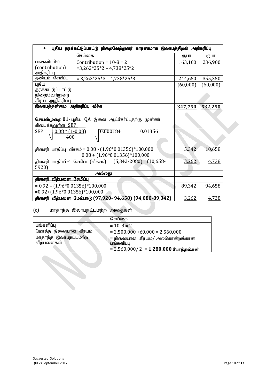| புதிய தரக்கட்டுப்பாட்டு நிறைவேற்றுனர் காரணமாக இலாபத்திறன் அதிகரிப்பு<br>$\bullet$           |          |          |
|---------------------------------------------------------------------------------------------|----------|----------|
| செய்கை                                                                                      | ₹ҦШП     | ₹Ҧ⊔П     |
| பங்களிப்பில்<br>Contribution = $10-8 = 2$                                                   | 163,100  | 236,900  |
| (contribution)<br>$=3,262*25*2 - 4,738*25*2$                                                |          |          |
| அதிகரிப்பு                                                                                  |          |          |
| தண்டம் சேமிப்பு<br>$= 3,262*25*3 - 4,738*25*3$                                              | 244,650  | 355,350  |
| புதிய                                                                                       | (60,000) | (60,000) |
| தரக்கட்டுப்பாட்டு                                                                           |          |          |
| நிறைவேற்றுனர்                                                                               |          |          |
| கிரய அதிகரிப்பு                                                                             |          |          |
| இலாபத்தன்மை அதிகரிப்பு வீச்சு                                                               | 347,750  | 532,250  |
|                                                                                             |          |          |
| <b>செயன்முறை 01</b> - புதிய QA இனை ஆட்சேர்ப்பதற்கு முன்னர்                                  |          |          |
| கிடைக்க <u>வுள்ள SEP</u>                                                                    |          |          |
| $= 0.000184$<br>$= 0.01356$<br>$SEP = \left  \frac{0.08 * (1 - 0.08)}{0.08} \right $<br>400 |          |          |
| தினசரி பாதிப்பு வீச்சம் = $0.08 - (1.96*0.01356)*100,000$                                   | 5,342    | 10,658   |
| $0.08 + (1.96 * 0.01356) * 100,000$                                                         |          |          |
| தினசரி பாதிப்பில் சேமிப்பு (வீச்சம்) = (5,342-2080) (10,658-                                | 3,262    | 4,738    |
| 5920)                                                                                       |          |          |
| அல்லது                                                                                      |          |          |
| தினசரி விற்பனை சேமிப்பு                                                                     |          |          |
| $= 0.92 - (1.96 * 0.01356) * 100,000$                                                       | 89,342   | 94,658   |
| $= 0.92 + (1.96 * 0.01356) * 100,000$                                                       |          |          |
| தினசரி விற்பனை மேம்பாடு (97,920- 94,658) (94,080-89,342)                                    | 3,262    | 4,738    |

# (c) மாதாந்த இலாபநட்டமற்ற அலகுகள்

|                                    | செய்கை                                         |
|------------------------------------|------------------------------------------------|
| பங்களிப்பு                         | $= 10-8 = 2$                                   |
| மொத்த நிலையான கிரயம்               | $= 2,500,000 + 60,000 = 2,560,000$             |
| மாதாந்த இலாபநட்டமற்ற<br>விற்பனைகள் | = நிலையான  கிரயம்/ அலகொன்றுக்கான<br>பங்களிப்பு |
|                                    | $= 2,560,000 / 2 = 1,280,000$ போத்தல்கள்       |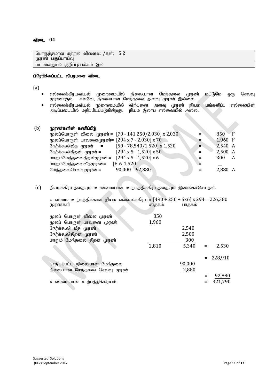பொருத்தமான கற்றல் விளைவு: /கள்:  $5.2$ முரண் பகுப்பாய்வு பாடகைநூல் குறிப்பு: பக்கம் இல .

#### பிரேரிக்கப்பட்ட விபரமான விடை

(a)

- எல்லைக்கிரயவியல் முறைமையில் நிலையான மேந்தலை முரண் மட்டுமே ஒரு செலவு முரணாகும். எனவே, நிலையான மேந்தலை அளவு முரண் இல்லை.
- எல்லைக்கிரயவியல் முறைமையில் விற்பனை அளவு முரண் நியம பங்களிப்பு எல்லையின்<br>அடிப்படையில் மதிப்பிடப்படுகின்றது. நியம இலாப எல்லையில் அல்ல. அடிப்படையில் மதிப்பிடப்படுகின்றது.

#### $(b)$  (முரண்களின் கணிப்பீடு

| மூலப்பொருள் விலை முரண் = [70 - 141,250/2,030] x 2,030           | $=$ | $850$ F   |   |
|-----------------------------------------------------------------|-----|-----------|---|
| மூலப்பொருள் பாவனைமுரண்= [294 x 7 - 2,030] x 70                  |     | $1,960$ F |   |
| $[50 - 78, 540/1, 520] \times 1,520$<br>நேர்க்கூலிவீத முரண்   = |     | 2,540 A   |   |
| $[294 \times 5 - 1,520] \times 50$<br>நேர்க்கூலிதிறன் முரண் =   |     | 2,500 A   |   |
| $[294 \times 5 - 1,520] \times 6$<br>மாறும்மேந்தலைதிறன்முரண் =  |     | 300       | A |
| $[6-6]1,520$<br>மாறும்மேந்தலைவீதமுரண்=                          |     |           |   |
| $90,000 - 92,880$<br>மேந்தலைசெலவுமுரண் =                        |     | 2,880 A   |   |
|                                                                 |     |           |   |

# $(c)$  நியமக்கிரயத்தையும் உண்மையான உற்பத்திக்கிரயத்தையும் இணங்கச்செய்தல்.

cz;ik cw;gj;jpf;fhd epak vy;iyf;fpuak; [490 + 250 + 5x6] x 294 = 226,380 முரண்கள் : **1996 ஆம் ஆண்கள்** : 1996 ஆம் ஆண்கள்

| மூலப் பொருள் விலை முரண்     | 850   |        |     |             |
|-----------------------------|-------|--------|-----|-------------|
| மூலப் பொருள் பாவனை முரண்    | 1,960 |        |     |             |
| நேர்க்கூலி வீத முரண்        |       | 2,540  |     |             |
| நேர்க்கூலிதிறன் முரண்       |       | 2,500  |     |             |
| மாறும் மேந்தலை திறன் முரண்  |       | 300    |     |             |
|                             | 2,810 | 5,340  | $=$ | 2,530       |
|                             |       |        |     |             |
|                             |       |        |     | $= 228,910$ |
| பாதிடப்பட்ட நிலையான மேந்தலை |       | 90,000 |     |             |
| நிலையான மேந்தலை செலவு முரண் |       | 2,880  |     |             |
|                             |       |        |     | 92,880      |
| உண்மையான உற்பத்திக்கிரயம்   |       |        |     | 321,790     |
|                             |       |        |     |             |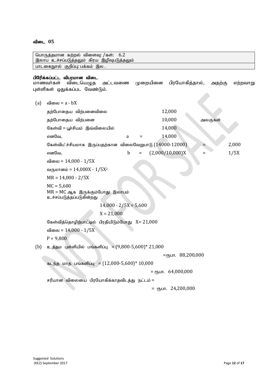|     | பொருத்தமான கற்றல் விளைவு: /கள்:<br>6.2<br>இலாப உச்சப்படுத்தலும் கிரய இழிவுபடுத்தலும்               |     |          |                                       |     |         |          |
|-----|----------------------------------------------------------------------------------------------------|-----|----------|---------------------------------------|-----|---------|----------|
|     | பாடகைநூல் குறிப்பு: பக்கம் இல .                                                                    |     |          |                                       |     |         |          |
|     | பிரேிக்கப்பட்ட விபரமான விடை<br>விடையெழுத<br>மாணவர்கள்<br>அட்டவணை<br>புள்ளிகள் ஒதுக்கப்பட வேண்டும். |     | முறையினை | பிரயோகித்தால்,                        |     | அதற்கு  | எற்றவாறு |
| (a) | விலை = a - bX                                                                                      |     |          |                                       |     |         |          |
|     | தற்போதைய விற்பனைவிலை                                                                               |     |          | 12,000                                |     |         |          |
|     | தற்போதைய விற்பனை                                                                                   |     |          | 10,000                                |     | அலகுகள் |          |
|     | கேள்வி = பூச்சியம் இவ்விலையில்                                                                     |     |          | 14,000                                |     |         |          |
|     | எனவே,<br>a                                                                                         | Ξ   |          | 14,000                                |     |         |          |
|     | கேள்விப'ச்சியமாக இருப்பதற்கான விலைவேறுபாடு (14000-12000)                                           |     |          |                                       | =   |         | 2,000    |
|     | $\mathbf b$<br>எனவே,                                                                               | $=$ |          | (2,000/10,000)X                       | $=$ |         | 1/5X     |
|     | விலை = 14,000 - 1/5X                                                                               |     |          |                                       |     |         |          |
|     | வருமானம் = 14,000X - 1/5X <sup>2</sup>                                                             |     |          |                                       |     |         |          |
|     | $MR = 14,000 - 2/5X$                                                                               |     |          |                                       |     |         |          |
|     | $MC = 5,600$<br>$MR = MC$ ஆக இருக்கும்போது இலாபம்<br>உச்சப்படுத்தப்படுகின்றது                      |     |          |                                       |     |         |          |
|     | $14,000 - 2/5X = 5,600$                                                                            |     |          |                                       |     |         |          |
|     | $X = 21,000$                                                                                       |     |          |                                       |     |         |          |
|     | கேள்வித்தொழிற்பாட்டில் பிரதியிடும்போது X= 21,000                                                   |     |          |                                       |     |         |          |
|     | விலை = 14,000 - 1/5X                                                                               |     |          |                                       |     |         |          |
|     | $P = 9,800$                                                                                        |     |          |                                       |     |         |          |
| (b) | உத்தம புள்ளியில் பங்களிப்பு = $(9,800-5,600)$ * 21,000                                             |     |          |                                       |     |         |          |
|     |                                                                                                    |     |          | $=$ <sub>(</sub> $\mu$ In. 88,200,000 |     |         |          |
|     | கடந்த மாத பங்களிப்பு = $(12,000-5,600)*10,000$                                                     |     |          |                                       |     |         |          |
|     |                                                                                                    |     |          | $=$ (T <sub>3</sub> LIT. 64,000,000   |     |         |          |
|     | சரியான விலையை பிரயோகிக்காதவிடத்து நட்டம் =                                                         |     |          |                                       |     |         |          |
|     |                                                                                                    |     |          | $=$ $\epsilon$ гъит. 24,200,000       |     |         |          |
|     |                                                                                                    |     |          |                                       |     |         |          |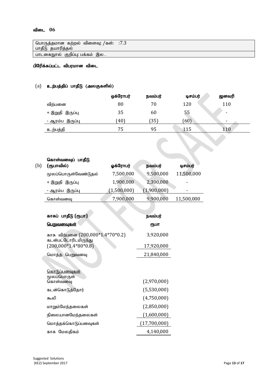| பொருத்தமான கற்றல் விளைவு: /கள்: ்:7.3<br>பாதீடு தயாரித்தல் |  |
|------------------------------------------------------------|--|
| பாடகைநூல் குறிப்பு: பக்கம் இல .                            |  |

# பிரேிக்கப்பட்ட விபரமான விடை

# $(a)$  உற்பத்திப் பாதீடு (அலகுகளில்)

|                 | ஒக்ரோபர் | நவம்பர் | டிசம்பர் | ஜனவரி |
|-----------------|----------|---------|----------|-------|
| விற்பனை         | 80       | 70      | 120      | 110   |
| + இறுதி இருப்பு | 35       | 60      | 55       | ٠     |
| - ஆரம்ப இருப்பு | (40)     | 35)     | (60)     | -     |
| உற்பத்தி        | 75       | 95      | 115      | 110   |

| (b) | கொள்வனவுப் பாதீடு<br>(ரூபாவில்)                           | ஓக்ரோபர்    | நவம்பர்      | டிசம்பர்   |
|-----|-----------------------------------------------------------|-------------|--------------|------------|
|     | மூலப்பொருள்வேண்டுதல்                                      | 7,500,000   | 9,500,000    | 11,500,000 |
|     | + இறுதி இருப்பு                                           | 1,900,000   | 2,300,000    |            |
|     | <u>- ஆரம்ப இருப்பு</u>                                    | (1,500,000) | (1,900,000)  |            |
|     | கொள்வனவு                                                  | 7,900,000   | 9,900,000    | 11,500,000 |
|     |                                                           |             |              |            |
|     | காசுப் பாதீடு (ரூபா)                                      |             | நவம்பர்      |            |
|     | <u>பெறுவனவுகள்</u>                                        |             | ரூபா         |            |
|     | காசு விற்பனை (200,000*1.4*70*0.2)<br>கடன்பட்டோரிடமிருந்து |             | 3,920,000    |            |
|     | $(200,000*1.4*80*0.8)$                                    |             | 17,920,000   |            |
|     | மொத்த பெறுவனவு                                            |             | 21,840,000   |            |
|     |                                                           |             |              |            |
|     | கொடுப்பனவுகள்                                             |             |              |            |
|     | மூலப்பொருள்<br>கொள்வனவு                                   |             | (2,970,000)  |            |
|     | கடன்கொடுத்தோர்                                            |             | (5,530,000)  |            |
|     | கூலி                                                      |             | (4,750,000)  |            |
|     | மாறும்மேந்தலைகள்                                          |             | (2,850,000)  |            |
|     | நிலையானமேந்தலைகள்                                         |             | (1,600,000)  |            |
|     | மொத்தக்கொடுப்பனவுகள்                                      |             | (17,700,000) |            |
|     | காசு மேலதிகம்                                             |             | 4,140,000    |            |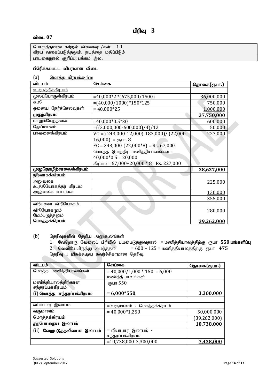| பொருத்தமான கற்றல் விளைவு: /கள்: $\,1.1$  |  |
|------------------------------------------|--|
| கிரய வகைப்படுத்தலும், நடத்தை மதிப்பீடும் |  |
| பாடகைநூல் குறிப்பு: பக்கம் இல .          |  |

# பிரேிக்கப்பட்ட விபரமான விடை

| (a) | மொக்க கிாயக்கூற்று |  |
|-----|--------------------|--|
|     |                    |  |
|     |                    |  |

| விடயம்                   | செய்கை                                          | தொகை(ரூபா.) |
|--------------------------|-------------------------------------------------|-------------|
| <u>உற்பத்திக்கிரயம்</u>  |                                                 |             |
| மூலப்பொருள்கிரயம்        | $=40,000*2*(675,000/1500)$                      | 36,000,000  |
| கூலி                     | $=(40,000/1000)*150*125$                        | 750,000     |
| ஏனைய நேர்ச்செலவுகள்      | $= 40,000*25$                                   | 1,000,000   |
| முதற்கிரயம்              |                                                 | 37,750,000  |
| மாறும்மேந்தலை            | $=40,000*0.5*30$                                | 600,000     |
| தேய்மானம்                | $=( (3,000,000-600,000)/4)/12$                  | 50,000      |
| பாவனைக்கிரயம்            | $VC = ((243,000-12,000) - 183,000) / (22,000 -$ | 227,000     |
|                          | $16,000$ ) = ரூபா. 8                            |             |
|                          | $FC = 243,000-(22,000*8) = Rs. 67,000$          |             |
|                          | மொத்த இயந்திர மணித்தியாலங்கள் =                 |             |
|                          | $40,000*0.5 = 20,000$                           |             |
|                          | $\text{affuub} = 67,000+20,000*8=$ Rs. 227,000  |             |
| முழுதொழிற்சாலைக்கிரயம்   |                                                 | 38,627,000  |
| <u> நிர்வாகக்கிரயம்</u>  |                                                 |             |
| அலுவலக                   |                                                 | 225,000     |
| உத்தியோகத்தர் கிரயம்     |                                                 |             |
| அலுவலக வாடகை             |                                                 | 130,000     |
|                          |                                                 | 355,000     |
| <u>விற்பனை விநியோகம்</u> |                                                 |             |
| விநியோகமும்              |                                                 | 280,000     |
| மேம்படுத்தலும்           |                                                 |             |
| மொத்தக்கிரயம்            |                                                 | 39,262,000  |

 $(b)$  தெரிவுகளின் தேறிய அனுகூலங்கள்

1. வேறொரு வேலைப் பிரிவில் பயன்படுததுவதால் = மணித்தியாலத்திற்கு ரூபா 550 பங்களிப்பு 2. வெளியேயிருந்து அமர்த்தல் = 600 – 125 = மணித்தியாலத்திற்கு ரூபா 47**5** தெரிவு 1 மிகக்கூடிய கவர்ச்சிகரமான தெரிவு.

| விடயம்                         | செய்கை                         | தொகை(ரூபா.)    |
|--------------------------------|--------------------------------|----------------|
| மொத்த மணித்தியாலங்கள்          | $= 40,000/1,000 * 150 = 6,000$ |                |
|                                | மணித்தியாலங்கள்                |                |
| மணித்தியாலத்திற்கான            | ரூபா 550                       |                |
| சந்தரப்பக்கிரயம்               |                                |                |
| $(i)$ மொத்த சந்தரப்பக்கிரயம்   | $= 6,000*550$                  | 3,300,000      |
|                                |                                |                |
| வியாபார இலாபம்                 | = வருமானம்  -  மொத்தக்கிரயம்   |                |
| வருமானம்                       | $= 40,000*1,250$               | 50,000,000     |
| மொத்தக்கிரயம்                  |                                | (39, 262, 000) |
| தற்போதைய இலாபம்                |                                | 10,738,000     |
| (ii)<br>வேறுபடுத்தலிலான இலாபம் | = வியாபார இலாபம் -             |                |
|                                | சந்தர்ப்பக்கிரயம்              |                |
|                                | $= 10,738,000 - 3,300,000$     | 7,438,000      |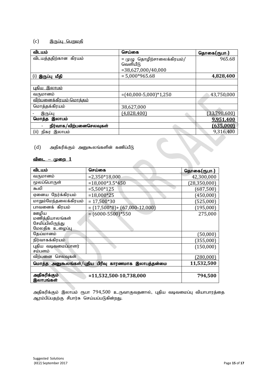# $(c)$  இருப்பு பெறுமதி

| விடயம்                         | செய்கை                                 | தொகை(ரூபா.)  |
|--------------------------------|----------------------------------------|--------------|
| விடயத்ததிற்கான கிரயம்          | = முழு தொழிற்சாலைக்கிரயம்/<br>வெளியீடு | 965.68       |
|                                | $= 38,627,000/40,000$                  |              |
| இருப்பு மீதி<br>(i)            | $= 5,000*965.68$                       | 4,828,400    |
|                                |                                        |              |
| <u>புதிய இலாபம்</u>            |                                        |              |
| வருமானம்                       | $=(40,000-5,000)*1,250$                | 43,750,000   |
| <u>விற்பனைக்கிரயம்-மொக்கம்</u> |                                        |              |
| மொத்தக்கிரயம்                  | 38,627,000                             |              |
| இருப்பு                        | (4,828,400)                            | (33,798,600) |
| இலாபம்<br>மொத்த                |                                        | 9.951.400    |
| நிர்வாக/விற்பனைசெலவுகள்        |                                        | (635.000)    |
| இலாபம்<br>(ii)<br>நிகர         |                                        | 9,316,400    |

 $(d)$  அதிகரிக்கும் அனுகூலங்களின் கணிப்பீடு

#### <u>விடை – முறை 1</u>

| விடயம்                                                | செய்கை                        | தொகை(ரூபா.)    |
|-------------------------------------------------------|-------------------------------|----------------|
| வருமானம்                                              | $= 2,350*18,000$              | 42,300,000     |
| மூலப்பொருள்                                           | $=18,000*3.5*450$             | (28, 350, 000) |
| கூலி                                                  | $=5,500*125$                  | (687,500)      |
| ஏனைய நேர்க்கிரயம்                                     | $=18,000*25$                  | (450,000)      |
| மாறும்மேந்தலைக்கிரயம்                                 | $= 17,500*30$                 | (525,000)      |
| பாவனைக் கிரயம்                                        | $=(17,500*8)+(67,000-12,000)$ | (195,000)      |
| ஊழிய                                                  | $=(6000-5500)*550$            | 275,000        |
| மணித்தியாலங்கள்<br>சேமிப்பிலிருந்து                   |                               |                |
| மேலதிக உழைப்பு                                        |                               |                |
| தேய்மானம்                                             |                               | (50,000)       |
| நிர்வாகக்கிரயம்                                       |                               | (355,000)      |
| புதிய வடிவமைப்பாளர்                                   |                               | (150,000)      |
| சம்பளம்                                               |                               |                |
| விற்பனை<br>செலவுகள்                                   |                               | (280,000)      |
| மொத்த அனுகூலங்கள்/புதிய பிரிவு காரணமாக<br>இலாபத்தன்மை |                               | 11,532,500     |
|                                                       |                               |                |
| அதிகரிக்கும்                                          | $= 11,532,500-10,738,000$     | 794,500        |
| இலாபங்கள்                                             |                               |                |

அதிகரிக்கும் இலாபம் ரூபா  $794,500$  உருவாகுவதனால், புதிய வடிவமைப்பு வியாபாரத்தை ஆரம்பிப்பதற்கு சிபார்சு செய்யப்படுகின்றது.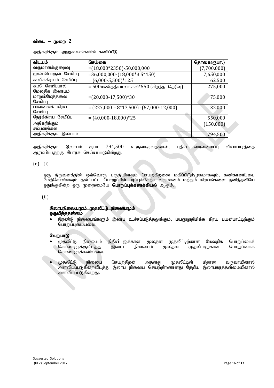#### <u>விடை – முறை 2</u>

அதிகரிக்கும் அனுகூலங்களின் கணிப்பீடு

| விடயம்                           | செய்கை                                      | தொகை(ரூபா.) |
|----------------------------------|---------------------------------------------|-------------|
| வருமானக்குறைவு                   | $=(18,000*2350)-50,000,000$                 | (7,700,000) |
| மூலப்பொருள் சேமிப்பு             | $=36,000,000-(18,000*3.5*450)$              | 7,650,000   |
| கூலிக்கிரயம் சேமிப்பு            | $=(6,000-5,500)*125$                        | 62,500      |
| கூலி சேமிப்பால்<br>மேலதிக இலாபம் | = 500மணித்தியாலங்கள்*550 (சிறந்த தெரிவு)    | 275,000     |
| மாறும்மேந்தலை<br>சேமிப்பு        | $=(20,000-17,500)*30$                       | 75,000      |
| பாவனைக் கிரய<br>சேமிப்பு         | $=(227,000 - 8*17,500) - (67,000 - 12,000)$ | 32,000      |
| நேர்க்கிரய சேமிப்பு              | $=(40,000-18,000)*25$                       | 550,000     |
| அதிகரிக்கும்<br>சம்பளங்கள்       |                                             | (150,000)   |
| அதிகரிக்கும்<br>இலாபம்           |                                             | 794,500     |

அதிகரிக்கும் இலாபம் ரூபா 794,500 உருவாகுவதனால், புதிய வடிவமைப்பு வியாபாரத்தை ஆரம்பிப்பதற்கு சிபார்சு செய்யப்படுகின்றது.

#### (e) (i)

ஒரு நிறுவனத்தின் ஒவ்வொரு பகுதியினதும் செயற்திறனை மதிப்பிடும்முகமாகவும், கண்காணிப்பை மேற்கொள்ளவும் தனிப்பட்ட பொறுப்பின் பரப்புக்கேற்ப வருமானம் மற்றும் கிரயங்களை தனித்தனியே ஒதுக்குகின்ற ஒரு முறைமையே **பொறுப்புக்கணக்கியல்** ஆகும்.

#### (ii)

#### இலாபநிலையமும் முதலீட்டு நிலையமும் ஒருமித்ததன்மை

இரண்டு நிலையங்களும் இலாப உச்சப்படுத்தலுக்கும், பயனுறுதிமிக்க கிரய பயன்பாட்டிற்கும் பொறுப்புடையவை.

#### வேறுபாடு

- முதலீட்டு நிலையம் நிதியிடலுக்கான மூலதன முதலீட்டிற்கான மேலதிக பொறுப்பைக்<br>கொண்டிருக்குமிடத்து இலாப நிலையம் மூலதன முதலீட்டிற்கான பொறுப்பைக் கொண்டிருக்குமிடத்து இலாப நிலையம் மூலதன கொண்டிருக்கவில்லை.
- முதலீட்டு நிலைய செயற்திறன் அதனது முதலீட்டின் மீதான வருவாயினால் .<br>அளவிடப்படுகின்றவிடத்து இலாப நிலைய செயற்திறனானது தேறிய இலாபகரத்தன்மையினால் அளவிடப்படுகின்றது.